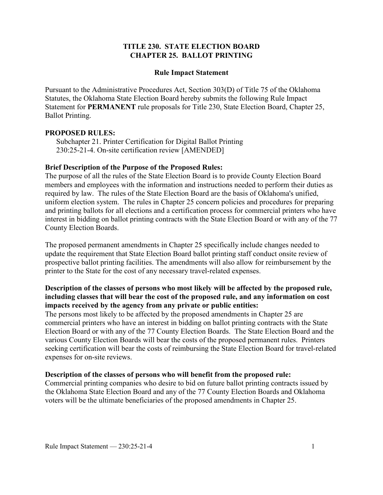### **TITLE 230. STATE ELECTION BOARD CHAPTER 25. BALLOT PRINTING**

#### **Rule Impact Statement**

Pursuant to the Administrative Procedures Act, Section 303(D) of Title 75 of the Oklahoma Statutes, the Oklahoma State Election Board hereby submits the following Rule Impact Statement for **PERMANENT** rule proposals for Title 230, State Election Board, Chapter 25, Ballot Printing.

#### **PROPOSED RULES:**

Subchapter 21. Printer Certification for Digital Ballot Printing 230:25-21-4. On-site certification review [AMENDED]

#### **Brief Description of the Purpose of the Proposed Rules:**

The purpose of all the rules of the State Election Board is to provide County Election Board members and employees with the information and instructions needed to perform their duties as required by law. The rules of the State Election Board are the basis of Oklahoma's unified, uniform election system. The rules in Chapter 25 concern policies and procedures for preparing and printing ballots for all elections and a certification process for commercial printers who have interest in bidding on ballot printing contracts with the State Election Board or with any of the 77 County Election Boards.

The proposed permanent amendments in Chapter 25 specifically include changes needed to update the requirement that State Election Board ballot printing staff conduct onsite review of prospective ballot printing facilities. The amendments will also allow for reimbursement by the printer to the State for the cost of any necessary travel-related expenses.

# **Description of the classes of persons who most likely will be affected by the proposed rule, including classes that will bear the cost of the proposed rule, and any information on cost impacts received by the agency from any private or public entities:**

The persons most likely to be affected by the proposed amendments in Chapter 25 are commercial printers who have an interest in bidding on ballot printing contracts with the State Election Board or with any of the 77 County Election Boards. The State Election Board and the various County Election Boards will bear the costs of the proposed permanent rules. Printers seeking certification will bear the costs of reimbursing the State Election Board for travel-related expenses for on-site reviews.

#### **Description of the classes of persons who will benefit from the proposed rule:**

Commercial printing companies who desire to bid on future ballot printing contracts issued by the Oklahoma State Election Board and any of the 77 County Election Boards and Oklahoma voters will be the ultimate beneficiaries of the proposed amendments in Chapter 25.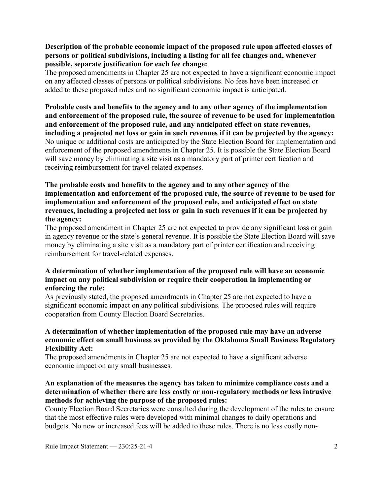## **Description of the probable economic impact of the proposed rule upon affected classes of persons or political subdivisions, including a listing for all fee changes and, whenever possible, separate justification for each fee change:**

The proposed amendments in Chapter 25 are not expected to have a significant economic impact on any affected classes of persons or political subdivisions. No fees have been increased or added to these proposed rules and no significant economic impact is anticipated.

**Probable costs and benefits to the agency and to any other agency of the implementation and enforcement of the proposed rule, the source of revenue to be used for implementation and enforcement of the proposed rule, and any anticipated effect on state revenues, including a projected net loss or gain in such revenues if it can be projected by the agency:** No unique or additional costs are anticipated by the State Election Board for implementation and enforcement of the proposed amendments in Chapter 25. It is possible the State Election Board will save money by eliminating a site visit as a mandatory part of printer certification and receiving reimbursement for travel-related expenses.

## **The probable costs and benefits to the agency and to any other agency of the implementation and enforcement of the proposed rule, the source of revenue to be used for implementation and enforcement of the proposed rule, and anticipated effect on state revenues, including a projected net loss or gain in such revenues if it can be projected by the agency:**

The proposed amendment in Chapter 25 are not expected to provide any significant loss or gain in agency revenue or the state's general revenue. It is possible the State Election Board will save money by eliminating a site visit as a mandatory part of printer certification and receiving reimbursement for travel-related expenses.

# **A determination of whether implementation of the proposed rule will have an economic impact on any political subdivision or require their cooperation in implementing or enforcing the rule:**

As previously stated, the proposed amendments in Chapter 25 are not expected to have a significant economic impact on any political subdivisions. The proposed rules will require cooperation from County Election Board Secretaries.

## **A determination of whether implementation of the proposed rule may have an adverse economic effect on small business as provided by the Oklahoma Small Business Regulatory Flexibility Act:**

The proposed amendments in Chapter 25 are not expected to have a significant adverse economic impact on any small businesses.

## **An explanation of the measures the agency has taken to minimize compliance costs and a determination of whether there are less costly or non-regulatory methods or less intrusive methods for achieving the purpose of the proposed rules:**

County Election Board Secretaries were consulted during the development of the rules to ensure that the most effective rules were developed with minimal changes to daily operations and budgets. No new or increased fees will be added to these rules. There is no less costly non